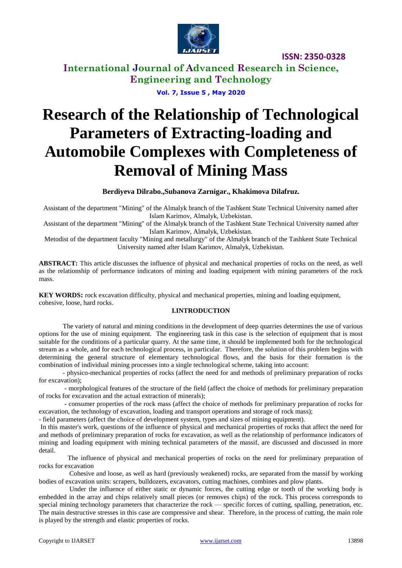

**International Journal of Advanced Research in Science, Engineering and Technology**

**Vol. 7, Issue 5 , May 2020**

# **Research of the Relationship of Technological Parameters of Extracting-loading and Automobile Complexes with Completeness of Removal of Mining Mass**

**Berdiyeva Dilrabo.,Subanova Zarnigar., Khakimova Dilafruz.**

Assistant of the department "Mining" of the Almalyk branch of the Tashkent State Technical University named after Islam Karimov, Almalyk, Uzbekistan.

Assistant of the department "Mining" of the Almalyk branch of the Tashkent State Technical University named after Islam Karimov, Almalyk, Uzbekistan.

Metodist of the department faculty "Mining and metallurgy" of the Almalyk branch of the Tashkent State Technical University named after Islam Karimov, Almalyk, Uzbekistan.

**ABSTRACT:** This article discusses the influence of physical and mechanical properties of rocks on the need, as well as the relationship of performance indicators of mining and loading equipment with mining parameters of the rock mass.

**KEY WORDS:** rock excavation difficulty, physical and mechanical properties, mining and loading equipment, cohesive, loose, hard rocks.

### **I.INTRODUCTION**

The variety of natural and mining conditions in the development of deep quarries determines the use of various options for the use of mining equipment. The engineering task in this case is the selection of equipment that is most suitable for the conditions of a particular quarry. At the same time, it should be implemented both for the technological stream as a whole, and for each technological process, in particular. Therefore, the solution of this problem begins with determining the general structure of elementary technological flows, and the basis for their formation is the combination of individual mining processes into a single technological scheme, taking into account:

- physico-mechanical properties of rocks (affect the need for and methods of preliminary preparation of rocks for excavation);

- morphological features of the structure of the field (affect the choice of methods for preliminary preparation of rocks for excavation and the actual extraction of minerals);

- consumer properties of the rock mass (affect the choice of methods for preliminary preparation of rocks for excavation, the technology of excavation, loading and transport operations and storage of rock mass);

- field parameters (affect the choice of development system, types and sizes of mining equipment).

In this master's work, questions of the influence of physical and mechanical properties of rocks that affect the need for and methods of preliminary preparation of rocks for excavation, as well as the relationship of performance indicators of mining and loading equipment with mining technical parameters of the massif, are discussed and discussed in more detail.

The influence of physical and mechanical properties of rocks on the need for preliminary preparation of rocks for excavation

Cohesive and loose, as well as hard (previously weakened) rocks, are separated from the massif by working bodies of excavation units: scrapers, bulldozers, excavators, cutting machines, combines and plow plants.

Under the influence of either static or dynamic forces, the cutting edge or tooth of the working body is embedded in the array and chips relatively small pieces (or removes chips) of the rock. This process corresponds to special mining technology parameters that characterize the rock — specific forces of cutting, spalling, penetration, etc. The main destructive stresses in this case are compressive and shear. Therefore, in the process of cutting, the main role is played by the strength and elastic properties of rocks.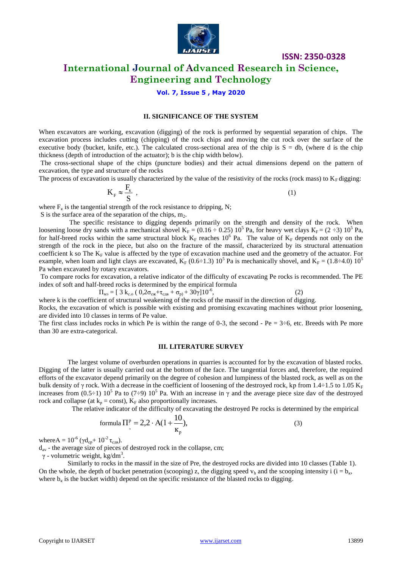

### **International Journal of Advanced Research in Science, Engineering and Technology**

### **Vol. 7, Issue 5 , May 2020**

#### **II. SIGNIFICANCE OF THE SYSTEM**

When excavators are working, excavation (digging) of the rock is performed by sequential separation of chips. The excavation process includes cutting (chipping) of the rock chips and moving the cut rock over the surface of the executive body (bucket, knife, etc.). The calculated cross-sectional area of the chip is  $S = db$ , (where d is the chip thickness (depth of introduction of the actuator); b is the chip width below).

The cross-sectional shape of the chips (puncture bodies) and their actual dimensions depend on the pattern of excavation, the type and structure of the rocks

The process of excavation is usually characterized by the value of the resistivity of the rocks (rock mass) to  $K<sub>F</sub>$  digging:

$$
K_{F} \approx \frac{F_{k}}{S} \tag{1}
$$

where  $F_k$  is the tangential strength of the rock resistance to dripping, N;

S is the surface area of the separation of the chips,  $m_2$ .

The specific resistance to digging depends primarily on the strength and density of the rock. When loosening loose dry sands with a mechanical shovel  $K_F = (0.16 \div 0.25) 10^5$  Pa, for heavy wet clays  $K_F = (2 \div 3) 10^5$  Pa, for half-breed rocks within the same structural block  $K_F$  reaches  $10^6$  Pa. The value of  $K_F$  depends not only on the strength of the rock in the piece, but also on the fracture of the massif, characterized by its structural attenuation coefficient k so The  $K_F$  value is affected by the type of excavation machine used and the geometry of the actuator. For example, when loam and light clays are excavated,  $K_F$  (0.6÷1.3) 10<sup>5</sup> Pa is mechanically shovel, and  $K_F$  = (1.8÷4.0) 10<sup>5</sup> Pa when excavated by rotary excavators.

To compare rocks for excavation, a relative indicator of the difficulty of excavating Pe rocks is recommended. The PE index of soft and half-breed rocks is determined by the empirical formula

$$
\Pi_{\text{M3}} = [3 k_{\text{c.o}} (0.2 \sigma_{\text{c} \times} + \tau_{\text{c} \times \text{B}} + \sigma_{\text{p}}) + 30 \gamma] 10^{-6},
$$

 $(2)$ 

where k is the coefficient of structural weakening of the rocks of the massif in the direction of digging. Rocks, the excavation of which is possible with existing and promising excavating machines without prior loosening, are divided into 10 classes in terms of Pe value.

The first class includes rocks in which Pe is within the range of 0-3, the second - Pe =  $3\div 6$ , etc. Breeds with Pe more than 30 are extra-categorical.

#### **III. LITERATURE SURVEY**

The largest volume of overburden operations in quarries is accounted for by the excavation of blasted rocks. Digging of the latter is usually carried out at the bottom of the face. The tangential forces and, therefore, the required efforts of the excavator depend primarily on the degree of cohesion and lumpiness of the blasted rock, as well as on the bulk density of γ rock. With a decrease in the coefficient of loosening of the destroyed rock, kp from 1.4÷1.5 to 1.05 K<sub>F</sub> increases from (0.5–1)  $10^5$  Pa to (7–9)  $10^5$  Pa. With an increase in  $\gamma$  and the average piece size dav of the destroyed rock and collapse (at  $k_p = const$ ),  $K_F$  also proportionally increases.

The relative indicator of the difficulty of excavating the destroyed Pe rocks is determined by the empirical

formula 
$$
\Pi_{\circ}^{P} = 2.2 \cdot A(1 + \frac{10}{\kappa_{p}}),
$$
 (3)

where  $A = 10^{-6}$  ( $\gamma d_{cp} + 10^{-2} \tau_{c,LB}$ ).

 $d_{av}$  - the average size of pieces of destroyed rock in the collapse, cm;

 $\gamma$  - volumetric weight, kg/dm<sup>3</sup>.

Similarly to rocks in the massif in the size of Pre, the destroyed rocks are divided into 10 classes (Table 1). On the whole, the depth of bucket penetration (scooping) z, the digging speed  $v<sub>b</sub>$ , and the scooping intensity i (i = b<sub>k</sub>, where  $b_k$  is the bucket width) depend on the specific resistance of the blasted rocks to digging.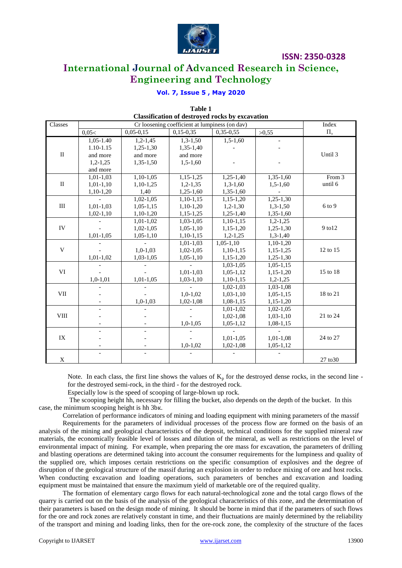

## **International Journal of Advanced Research in Science, Engineering and Technology**

### **Vol. 7, Issue 5 , May 2020**

| <b>Classification of destroyed rocks by excavation</b> |               |             |             |             |             |             |  |
|--------------------------------------------------------|---------------|-------------|-------------|-------------|-------------|-------------|--|
| Classes                                                |               | Index       |             |             |             |             |  |
|                                                        | 0,05<         | $0,05-0,15$ | $0,15-0,35$ | $0,35-0,55$ | >0,55       | $\prod_{3}$ |  |
|                                                        | $1,05 - 1.40$ | $1,2-1,45$  | $1,3-1,50$  | $1,5-1,60$  |             |             |  |
| $\rm II$                                               | 1.10-1.15     | $1,25-1,30$ | $1,35-1,40$ |             |             |             |  |
|                                                        | and more      | and more    | and more    |             |             | Until 3     |  |
|                                                        | $1,2-1,25$    | $1,35-1,50$ | $1,5-1,60$  |             |             |             |  |
|                                                        | and more      |             |             |             |             |             |  |
| $\rm II$                                               | $1,01-1,03$   | $1,10-1,05$ | $1,15-1,25$ | $1,25-1,40$ | $1,35-1,60$ | From 3      |  |
|                                                        | $1,01-1,10$   | $1,10-1,25$ | $1,2-1,35$  | $1,3-1,60$  | $1,5-1,60$  | until 6     |  |
|                                                        | $1,10-1,20$   | 1,40        | $1,25-1,60$ | $1,35-1,60$ |             |             |  |
|                                                        |               | $1,02-1,05$ | $1,10-1,15$ | $1,15-1,20$ | $1,25-1,30$ |             |  |
| III                                                    | $1,01-1,03$   | $1,05-1,15$ | $1,10-1,20$ | $1,2-1,30$  | $1,3-1,50$  | 6 to 9      |  |
|                                                        | $1,02-1,10$   | $1,10-1,20$ | $1,15-1,25$ | $1,25-1,40$ | $1,35-1,60$ |             |  |
| IV                                                     |               | $1,01-1,02$ | $1,03-1,05$ | $1,10-1,15$ | $1,2-1,25$  |             |  |
|                                                        |               | $1,02-1,05$ | $1,05-1,10$ | $1,15-1,20$ | $1,25-1,30$ | 9 to 12     |  |
|                                                        | $1,01-1,05$   | $1,05-1,10$ | $1,10-1,15$ | $1,2-1,25$  | $1,3-1,40$  |             |  |
| V                                                      |               |             | $1,01-1,03$ | $1,05-1,10$ | $1,10-1,20$ |             |  |
|                                                        |               | $1,0-1,03$  | $1,02-1,05$ | $1,10-1,15$ | $1,15-1,25$ | 12 to 15    |  |
|                                                        | $1,01-1,02$   | $1,03-1,05$ | $1,05-1,10$ | $1,15-1,20$ | $1,25-1,30$ |             |  |
|                                                        |               |             |             | $1,03-1,05$ | $1,05-1,15$ |             |  |
| VI                                                     |               |             | $1,01-1,03$ | $1,05-1,12$ | $1,15-1,20$ | 15 to 18    |  |
|                                                        | $1,0-1,01$    | $1,01-1,05$ | $1,03-1,10$ | $1,10-1,15$ | $1,2-1,25$  |             |  |
| VII                                                    |               |             |             | $1,02-1,03$ | 1,03-1,08   |             |  |
|                                                        |               |             | $1,0-1,02$  | $1,03-1,10$ | $1,05-1,15$ | 18 to 21    |  |
|                                                        |               | $1,0-1,03$  | $1,02-1,08$ | $1,08-1,15$ | $1,15-1,20$ |             |  |
| <b>VIII</b>                                            |               |             |             | $1,01-1,02$ | $1,02-1,05$ |             |  |
|                                                        |               |             |             | $1,02-1,08$ | $1,03-1,10$ | 21 to 24    |  |
|                                                        |               |             | $1,0-1,05$  | $1,05-1,12$ | $1,08-1,15$ |             |  |
| IX                                                     |               |             |             |             |             |             |  |
|                                                        |               |             |             | $1,01-1,05$ | $1,01-1,08$ | 24 to 27    |  |
|                                                        |               |             | $1,0-1,02$  | $1,02-1,08$ | $1,05-1,12$ |             |  |
|                                                        |               |             |             |             |             |             |  |
| $\mathbf X$                                            |               |             |             |             |             | 27 to 30    |  |

**Table 1 Classification of destroyed rocks by excavation**

Note. In each class, the first line shows the values of  $K_p$  for the destroyed dense rocks, in the second line for the destroyed semi-rock, in the third - for the destroyed rock.

Especially low is the speed of scooping of large-blown up rock.

The scooping height hh, necessary for filling the bucket, also depends on the depth of the bucket. In this case, the minimum scooping height is hh 3bк.

Correlation of performance indicators of mining and loading equipment with mining parameters of the massif

Requirements for the parameters of individual processes of the process flow are formed on the basis of an analysis of the mining and geological characteristics of the deposit, technical conditions for the supplied mineral raw materials, the economically feasible level of losses and dilution of the mineral, as well as restrictions on the level of environmental impact of mining. For example, when preparing the ore mass for excavation, the parameters of drilling and blasting operations are determined taking into account the consumer requirements for the lumpiness and quality of the supplied ore, which imposes certain restrictions on the specific consumption of explosives and the degree of disruption of the geological structure of the massif during an explosion in order to reduce mixing of ore and host rocks. When conducting excavation and loading operations, such parameters of benches and excavation and loading equipment must be maintained that ensure the maximum yield of marketable ore of the required quality.

The formation of elementary cargo flows for each natural-technological zone and the total cargo flows of the quarry is carried out on the basis of the analysis of the geological characteristics of this zone, and the determination of their parameters is based on the design mode of mining. It should be borne in mind that if the parameters of such flows for the ore and rock zones are relatively constant in time, and their fluctuations are mainly determined by the reliability of the transport and mining and loading links, then for the ore-rock zone, the complexity of the structure of the faces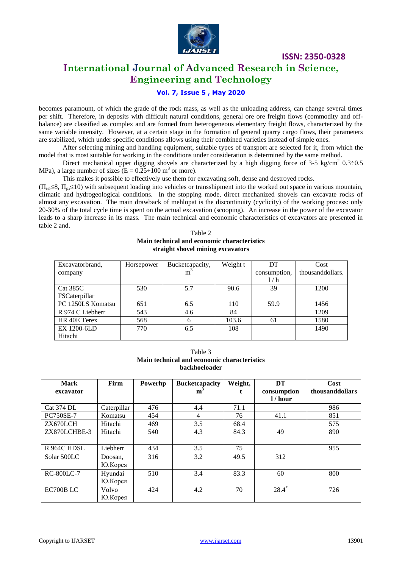

# **International Journal of Advanced Research in Science, Engineering and Technology**

### **Vol. 7, Issue 5 , May 2020**

becomes paramount, of which the grade of the rock mass, as well as the unloading address, can change several times per shift. Therefore, in deposits with difficult natural conditions, general ore ore freight flows (commodity and offbalance) are classified as complex and are formed from heterogeneous elementary freight flows, characterized by the same variable intensity. However, at a certain stage in the formation of general quarry cargo flows, their parameters are stabilized, which under specific conditions allows using their combined varieties instead of simple ones.

After selecting mining and handling equipment, suitable types of transport are selected for it, from which the model that is most suitable for working in the conditions under consideration is determined by the same method.

Direct mechanical upper digging shovels are characterized by a high digging force of 3-5 kg/cm<sup>2</sup> 0.3÷0.5 MPa), a large number of sizes ( $E = 0.25 \div 100$  m<sup>3</sup> or more).

This makes it possible to effectively use them for excavating soft, dense and destroyed rocks.

 $(\Pi_{M2} \leq 8, \Pi_{D2} \leq 10)$  with subsequent loading into vehicles or transshipment into the worked out space in various mountain, climatic and hydrogeological conditions. In the stopping mode, direct mechanized shovels can excavate rocks of almost any excavation. The main drawback of mehlopat is the discontinuity (cyclicity) of the working process: only 20-30% of the total cycle time is spent on the actual excavation (scooping). An increase in the power of the excavator leads to a sharp increase in its mass. The main technical and economic characteristics of excavators are presented in table 2 and.

### Table 2 **Main technical and economic characteristics straight shovel mining excavators**

| Excavatorbrand,   | Horsepower | Bucketcapacity, | Weight t | DT           | Cost             |
|-------------------|------------|-----------------|----------|--------------|------------------|
| company           |            | $m^3$           |          | consumption, | thousanddollars. |
|                   |            |                 |          | 1/h          |                  |
| Cat 385C          | 530        | 5.7             | 90.6     | 39           | 1200             |
| FSCaterpillar     |            |                 |          |              |                  |
| PC 1250LS Komatsu | 651        | 6.5             | 110      | 59.9         | 1456             |
| R 974 C Liebherr  | 543        | 4.6             | 84       |              | 1209             |
| HR 40E Terex      | 568        | 6               | 103.6    | 61           | 1580             |
| EX 1200-6LD       | 770        | 6.5             | 108      |              | 1490             |
| Hitachi           |            |                 |          |              |                  |

Table 3 **Main technical and economic characteristics backhoeloader**

| <b>Mark</b>       | Firm        | Powerhp | <b>Bucketcapacity</b> | Weight, | DT          | Cost            |
|-------------------|-------------|---------|-----------------------|---------|-------------|-----------------|
| excavator         |             |         | $m^2$                 |         | consumption | thousanddollars |
|                   |             |         |                       |         | 1/hour      |                 |
| <b>Cat 374 DL</b> | Caterpillar | 476     | 4.4                   | 71.1    |             | 986             |
| <b>PC750SE-7</b>  | Komatsu     | 454     | $\overline{4}$        | 76      | 41.1        | 851             |
| ZX670LCH          | Hitachi     | 469     | 3.5                   | 68.4    |             | 575             |
| ZX870LCHBE-3      | Hitachi     | 540     | 4.3                   | 84.3    | 49          | 890             |
|                   |             |         |                       |         |             |                 |
| R 964C HDSL       | Liebherr    | 434     | 3.5                   | 75      |             | 955             |
| Solar 500LC       | Doosan,     | 316     | 3.2                   | 49.5    | 312         |                 |
|                   | Ю.Корея     |         |                       |         |             |                 |
| <b>RC-800LC-7</b> | Hyundai     | 510     | 3.4                   | 83.3    | 60          | 800             |
|                   | Ю.Корея     |         |                       |         |             |                 |
| EC700B LC         | Volvo       | 424     | 4.2                   | 70      | $28.4*$     | 726             |
|                   | Ю.Корея     |         |                       |         |             |                 |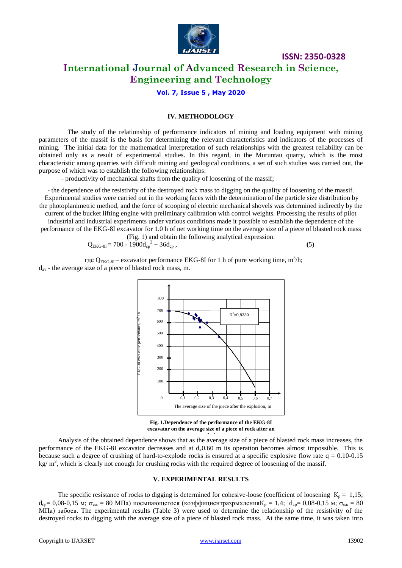

### **International Journal of Advanced Research in Science, Engineering and Technology**

**Vol. 7, Issue 5 , May 2020**

### **IV. METHODOLOGY**

The study of the relationship of performance indicators of mining and loading equipment with mining parameters of the massif is the basis for determining the relevant characteristics and indicators of the processes of mining. The initial data for the mathematical interpretation of such relationships with the greatest reliability can be obtained only as a result of experimental studies. In this regard, in the Muruntau quarry, which is the most characteristic among quarries with difficult mining and geological conditions, a set of such studies was carried out, the purpose of which was to establish the following relationships:

- productivity of mechanical shafts from the quality of loosening of the massif;

- the dependence of the resistivity of the destroyed rock mass to digging on the quality of loosening of the massif. Experimental studies were carried out in the working faces with the determination of the particle size distribution by the photoplanimetric method, and the force of scooping of electric mechanical shovels was determined indirectly by the

current of the bucket lifting engine with preliminary calibration with control weights. Processing the results of pilot industrial and industrial experiments under various conditions made it possible to establish the dependence of the performance of the EKG-8I excavator for 1.0 h of net working time on the average size of a piece of blasted rock mass  $(F_{1g}^{\dagger})$  and obtain the following analytical expression

$$
Q_{EKG-8I} = 700 - 1900d_{cp}^2 + 36d_{cp}
$$
, (5)

где Q<sub>EKG-8I</sub> – excavator performance EKG-8I for 1 h of pure working time, m<sup>3</sup>/h;  $d_{av}$  - the average size of a piece of blasted rock mass, m.



**Fig. 1.Dependence of the performance of the EKG-8I excavator on the average size of a piece of rock after an** 

Analysis of the obtained dependence shows that as the average size of a piece of blasted rock mass increases, the performance of the EKG-8I excavator decreases and at  $d<sub>k</sub>0.60$  m its operation becomes almost impossible. This is because such a degree of crushing of hard-to-explode rocks is ensured at a specific explosive flow rate  $q = 0.10$ -0.15  $kg/m<sup>3</sup>$ , which is clearly not enough for crushing rocks with the required degree of loosening of the massif.

#### **V. EXPERIMENTAL RESULTS**

The specific resistance of rocks to digging is determined for cohesive-loose (coefficient of loosening  $K_p = 1,15$ ;  $d_{cp}$ = 0,08-0,15 м;  $\sigma_{c}$  = 80 МПа) иосыпающегося (коэффициентразрыхления $K_p = 1.4$ ;  $d_{cp}$ = 0,08-0,15 м;  $\sigma_{c}$  = 80 МПа) забоев. The experimental results (Table 3) were used to determine the relationship of the resistivity of the destroyed rocks to digging with the average size of a piece of blasted rock mass. At the same time, it was taken into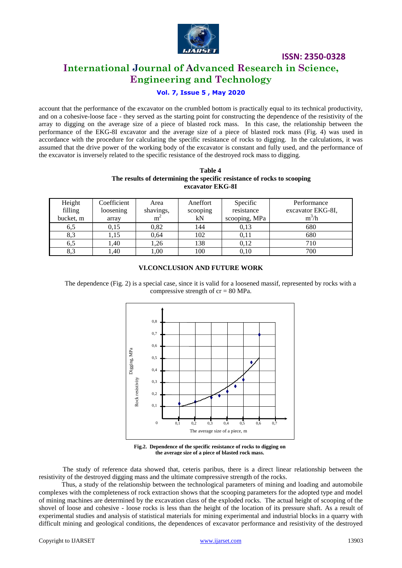

### **International Journal of Advanced Research in Science, Engineering and Technology**

### **Vol. 7, Issue 5 , May 2020**

account that the performance of the excavator on the crumbled bottom is practically equal to its technical productivity, and on a cohesive-loose face - they served as the starting point for constructing the dependence of the resistivity of the array to digging on the average size of a piece of blasted rock mass. In this case, the relationship between the performance of the EKG-8I excavator and the average size of a piece of blasted rock mass (Fig. 4) was used in accordance with the procedure for calculating the specific resistance of rocks to digging. In the calculations, it was assumed that the drive power of the working body of the excavator is constant and fully used, and the performance of the excavator is inversely related to the specific resistance of the destroyed rock mass to digging.

### **Table 4 The results of determining the specific resistance of rocks to scooping excavator EKG-8I**

| Height<br>filling<br>bucket, m | Coefficient<br>loosening<br>array | Area<br>shavings,<br>m <sup>2</sup> | Aneffort<br>scooping<br>kN | Specific<br>resistance<br>scooping, MPa | Performance<br>excavator EKG-8I,<br>$m^3/h$ |
|--------------------------------|-----------------------------------|-------------------------------------|----------------------------|-----------------------------------------|---------------------------------------------|
| 6,5                            | 0.15                              | 0.82                                | 144                        | 0,13                                    | 680                                         |
| 8.3                            | .15                               | 0.64                                | 102                        | 0,11                                    | 680                                         |
| 6.5                            | 1,40                              | 1,26                                | 138                        | 0,12                                    | 710                                         |
| 8,3                            | $\left(0, 40\right)$              | 1,00                                | 100                        | 0,10                                    | 700                                         |

### **VI.CONCLUSION AND FUTURE WORK**

The dependence (Fig. 2) is a special case, since it is valid for a loosened massif, represented by rocks with a compressive strength of  $cr = 80$  MPa.



**Fig.2. Dependence of the specific resistance of rocks to digging on the average size of a piece of blasted rock mass.**

The study of reference data showed that, ceteris paribus, there is a direct linear relationship between the resistivity of the destroyed digging mass and the ultimate compressive strength of the rocks.

Thus, a study of the relationship between the technological parameters of mining and loading and automobile complexes with the completeness of rock extraction shows that the scooping parameters for the adopted type and model of mining machines are determined by the excavation class of the exploded rocks. The actual height of scooping of the shovel of loose and cohesive - loose rocks is less than the height of the location of its pressure shaft. As a result of experimental studies and analysis of statistical materials for mining experimental and industrial blocks in a quarry with difficult mining and geological conditions, the dependences of excavator performance and resistivity of the destroyed